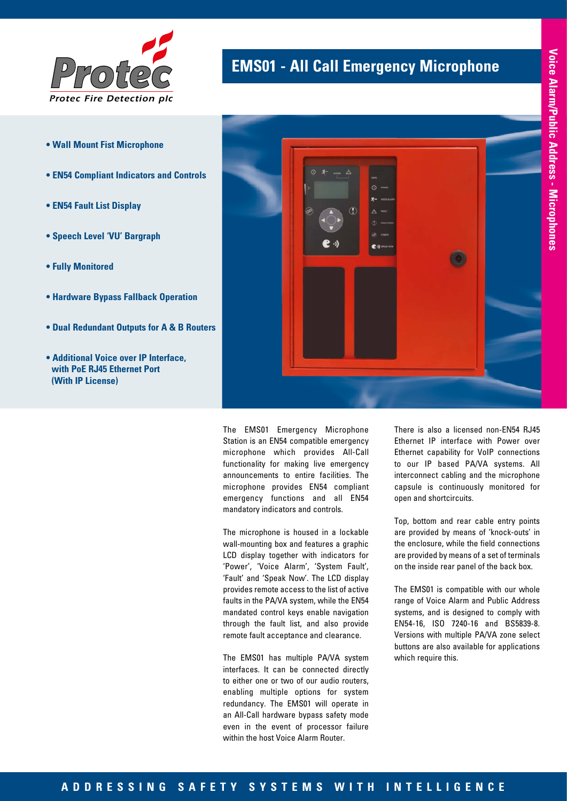

- **Wall Mount Fist Microphone**
- **EN54 Compliant Indicators and Controls**
- **EN54 Fault List Display**
- **Speech Level 'VU' Bargraph**
- **Fully Monitored**
- **Hardware Bypass Fallback Operation**
- **Dual Redundant Outputs for A & B Routers**
- **Additional Voice over IP Interface, with PoE RJ45 Ethernet Port (With IP License)**

## **EMS01 - All Call Emergency Microphone**



The EMS01 Emergency Microphone Station is an EN54 compatible emergency microphone which provides All-Call functionality for making live emergency announcements to entire facilities. The microphone provides EN54 compliant emergency functions and all EN54 mandatory indicators and controls.

The microphone is housed in a lockable wall-mounting box and features a graphic LCD display together with indicators for 'Power', 'Voice Alarm', 'System Fault', 'Fault' and 'Speak Now'. The LCD display provides remote access to the list of active faults in the PA/VA system, while the EN54 mandated control keys enable navigation through the fault list, and also provide remote fault acceptance and clearance.

The EMS01 has multiple PA/VA system interfaces. It can be connected directly to either one or two of our audio routers, enabling multiple options for system redundancy. The EMS01 will operate in an All-Call hardware bypass safety mode even in the event of processor failure within the host Voice Alarm Router.

There is also a licensed non-EN54 RJ45 Ethernet IP interface with Power over Ethernet capability for VoIP connections to our IP based PA/VA systems. All interconnect cabling and the microphone capsule is continuously monitored for open and shortcircuits.

Top, bottom and rear cable entry points are provided by means of 'knock-outs' in the enclosure, while the field connections are provided by means of a set of terminals on the inside rear panel of the back box.

The EMS01 is compatible with our whole range of Voice Alarm and Public Address systems, and is designed to comply with EN54-16, ISO 7240-16 and BS5839-8. Versions with multiple PA/VA zone select buttons are also available for applications which require this.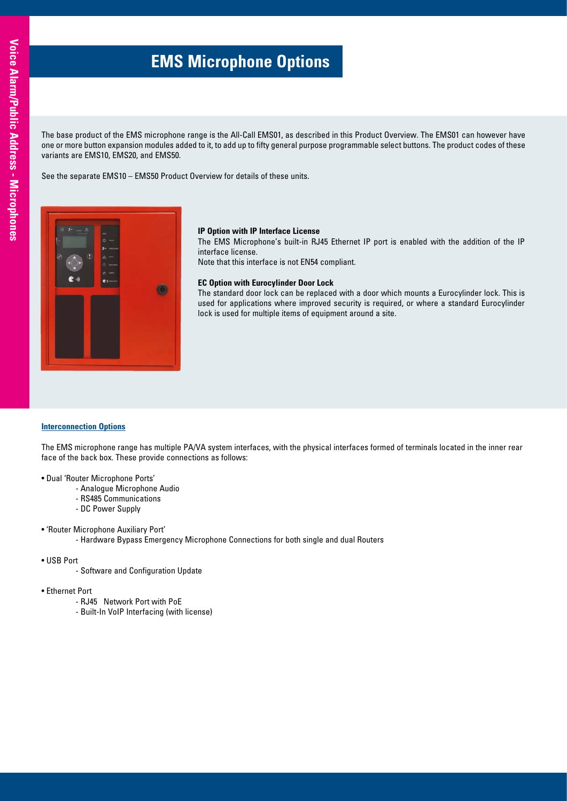# **EMS Microphone Options**

The base product of the EMS microphone range is the All-Call EMS01, as described in this Product Overview. The EMS01 can however have one or more button expansion modules added to it, to add up to fifty general purpose programmable select buttons. The product codes of these variants are EMS10, EMS20, and EMS50.

See the separate EMS10 – EMS50 Product Overview for details of these units.



## **IP Option with IP Interface License**

The EMS Microphone's built-in RJ45 Ethernet IP port is enabled with the addition of the IP interface license.

Note that this interface is not EN54 compliant.

## **EC Option with Eurocylinder Door Lock**

The standard door lock can be replaced with a door which mounts a Eurocylinder lock. This is used for applications where improved security is required, or where a standard Eurocylinder lock is used for multiple items of equipment around a site.

## **Interconnection Options**

The EMS microphone range has multiple PA/VA system interfaces, with the physical interfaces formed of terminals located in the inner rear face of the back box. These provide connections as follows:

- Dual 'Router Microphone Ports'
	- Analogue Microphone Audio
	- RS485 Communications
	- DC Power Supply
- 'Router Microphone Auxiliary Port'
	- Hardware Bypass Emergency Microphone Connections for both single and dual Routers
- USB Port
	- Software and Configuration Update
- Ethernet Port
	- RJ45 Network Port with PoE
	- Built-In VoIP Interfacing (with license)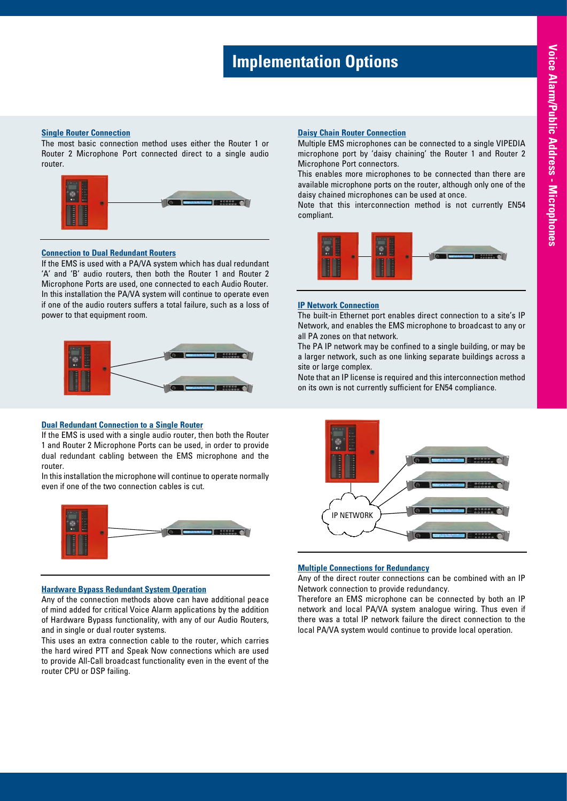# **Implementation Options**

#### **Single Router Connection**

The most basic connection method uses either the Router 1 or Router 2 Microphone Port connected direct to a single audio router.



#### **Connection to Dual Redundant Routers**

If the EMS is used with a PA/VA system which has dual redundant 'A' and 'B' audio routers, then both the Router 1 and Router 2 Microphone Ports are used, one connected to each Audio Router. In this installation the PA/VA system will continue to operate even if one of the audio routers suffers a total failure, such as a loss of power to that equipment room.



## **Dual Redundant Connection to a Single Router**

If the EMS is used with a single audio router, then both the Router 1 and Router 2 Microphone Ports can be used, in order to provide dual redundant cabling between the EMS microphone and the router.

In this installation the microphone will continue to operate normally even if one of the two connection cables is cut.



#### **Hardware Bypass Redundant System Operation**

Any of the connection methods above can have additional peace of mind added for critical Voice Alarm applications by the addition of Hardware Bypass functionality, with any of our Audio Routers, and in single or dual router systems.

This uses an extra connection cable to the router, which carries the hard wired PTT and Speak Now connections which are used to provide All-Call broadcast functionality even in the event of the router CPU or DSP failing.

## **Daisy Chain Router Connection**

Multiple EMS microphones can be connected to a single VIPEDIA microphone port by 'daisy chaining' the Router 1 and Router 2 Microphone Port connectors.

This enables more microphones to be connected than there are available microphone ports on the router, although only one of the daisy chained microphones can be used at once.

Note that this interconnection method is not currently EN54 compliant.



#### **IP Network Connection**

The built-in Ethernet port enables direct connection to a site's IP Network, and enables the EMS microphone to broadcast to any or all PA zones on that network.

The PA IP network may be confined to a single building, or may be a larger network, such as one linking separate buildings across a site or large complex.

Note that an IP license is required and this interconnection method on its own is not currently sufficient for EN54 compliance.



### **Multiple Connections for Redundancy**

Any of the direct router connections can be combined with an IP Network connection to provide redundancy.

Therefore an EMS microphone can be connected by both an IP network and local PA/VA system analogue wiring. Thus even if there was a total IP network failure the direct connection to the local PA/VA system would continue to provide local operation.